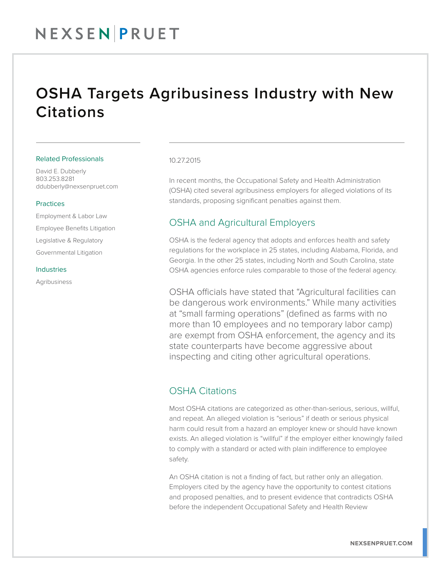## NEXSENPRUET

## OSHA Targets Agribusiness Industry with New **Citations**

#### Related Professionals

David E. Dubberly 803.253.8281 ddubberly@nexsenpruet.com

#### Practices

Employment & Labor Law Employee Benefits Litigation Legislative & Regulatory Governmental Litigation

#### Industries

Agribusiness

#### 10.27.2015

In recent months, the Occupational Safety and Health Administration (OSHA) cited several agribusiness employers for alleged violations of its standards, proposing significant penalties against them.

## OSHA and Agricultural Employers

OSHA is the federal agency that adopts and enforces health and safety regulations for the workplace in 25 states, including Alabama, Florida, and Georgia. In the other 25 states, including North and South Carolina, state OSHA agencies enforce rules comparable to those of the federal agency.

OSHA officials have stated that "Agricultural facilities can be dangerous work environments." While many activities at "small farming operations" (defined as farms with no more than 10 employees and no temporary labor camp) are exempt from OSHA enforcement, the agency and its state counterparts have become aggressive about inspecting and citing other agricultural operations.

### OSHA Citations

Most OSHA citations are categorized as other-than-serious, serious, willful, and repeat. An alleged violation is "serious" if death or serious physical harm could result from a hazard an employer knew or should have known exists. An alleged violation is "willful" if the employer either knowingly failed to comply with a standard or acted with plain indifference to employee safety.

An OSHA citation is not a finding of fact, but rather only an allegation. Employers cited by the agency have the opportunity to contest citations and proposed penalties, and to present evidence that contradicts OSHA before the independent Occupational Safety and Health Review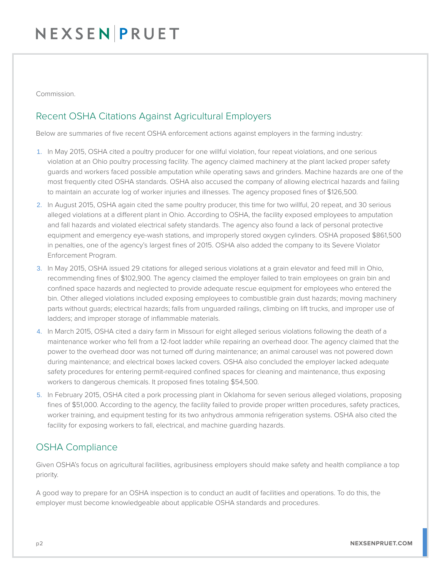# NEXSENPRUET

Commission.

## Recent OSHA Citations Against Agricultural Employers

Below are summaries of five recent OSHA enforcement actions against employers in the farming industry:

- 1. In May 2015, OSHA cited a poultry producer for one willful violation, four repeat violations, and one serious violation at an Ohio poultry processing facility. The agency claimed machinery at the plant lacked proper safety guards and workers faced possible amputation while operating saws and grinders. Machine hazards are one of the most frequently cited OSHA standards. OSHA also accused the company of allowing electrical hazards and failing to maintain an accurate log of worker injuries and illnesses. The agency proposed fines of \$126,500.
- 2. In August 2015, OSHA again cited the same poultry producer, this time for two willful, 20 repeat, and 30 serious alleged violations at a different plant in Ohio. According to OSHA, the facility exposed employees to amputation and fall hazards and violated electrical safety standards. The agency also found a lack of personal protective equipment and emergency eye-wash stations, and improperly stored oxygen cylinders. OSHA proposed \$861,500 in penalties, one of the agency's largest fines of 2015. OSHA also added the company to its Severe Violator Enforcement Program.
- 3. In May 2015, OSHA issued 29 citations for alleged serious violations at a grain elevator and feed mill in Ohio, recommending fines of \$102,900. The agency claimed the employer failed to train employees on grain bin and confined space hazards and neglected to provide adequate rescue equipment for employees who entered the bin. Other alleged violations included exposing employees to combustible grain dust hazards; moving machinery parts without guards; electrical hazards; falls from unguarded railings, climbing on lift trucks, and improper use of ladders; and improper storage of inflammable materials.
- 4. In March 2015, OSHA cited a dairy farm in Missouri for eight alleged serious violations following the death of a maintenance worker who fell from a 12-foot ladder while repairing an overhead door. The agency claimed that the power to the overhead door was not turned off during maintenance; an animal carousel was not powered down during maintenance; and electrical boxes lacked covers. OSHA also concluded the employer lacked adequate safety procedures for entering permit-required confined spaces for cleaning and maintenance, thus exposing workers to dangerous chemicals. It proposed fines totaling \$54,500.
- 5. In February 2015, OSHA cited a pork processing plant in Oklahoma for seven serious alleged violations, proposing fines of \$51,000. According to the agency, the facility failed to provide proper written procedures, safety practices, worker training, and equipment testing for its two anhydrous ammonia refrigeration systems. OSHA also cited the facility for exposing workers to fall, electrical, and machine guarding hazards.

## OSHA Compliance

Given OSHA's focus on agricultural facilities, agribusiness employers should make safety and health compliance a top priority.

A good way to prepare for an OSHA inspection is to conduct an audit of facilities and operations. To do this, the employer must become knowledgeable about applicable OSHA standards and procedures.